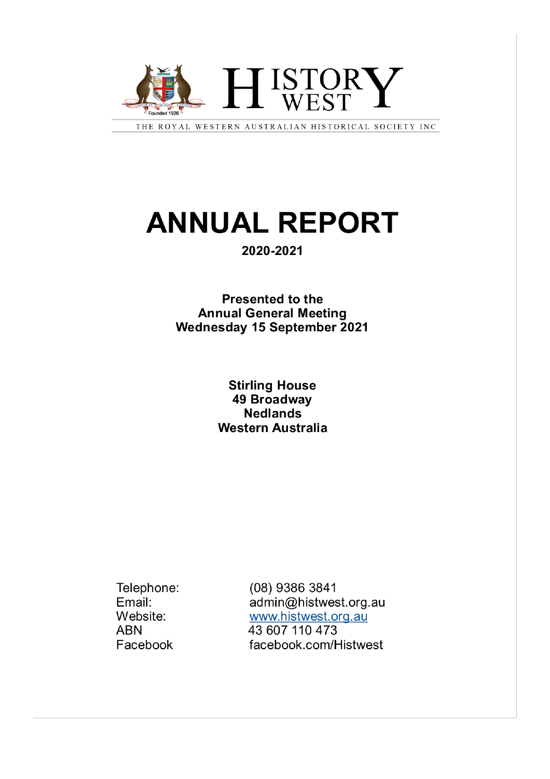

THE ROYAL WESTERN AUSTRALIAN HISTORICAL SOCIETY INC

# **ANNUAL REPORT**

#### 2020-2021

**Presented to the Annual General Meeting** Wednesday 15 September 2021

#### **Stirling House** 49 Broadway **Nedlands Western Australia**

Telephone: Email: Website: **ABN** Facebook

(08) 9386 3841 admin@histwest.org.au www.histwest.org.au 43 607 110 473 facebook.com/Histwest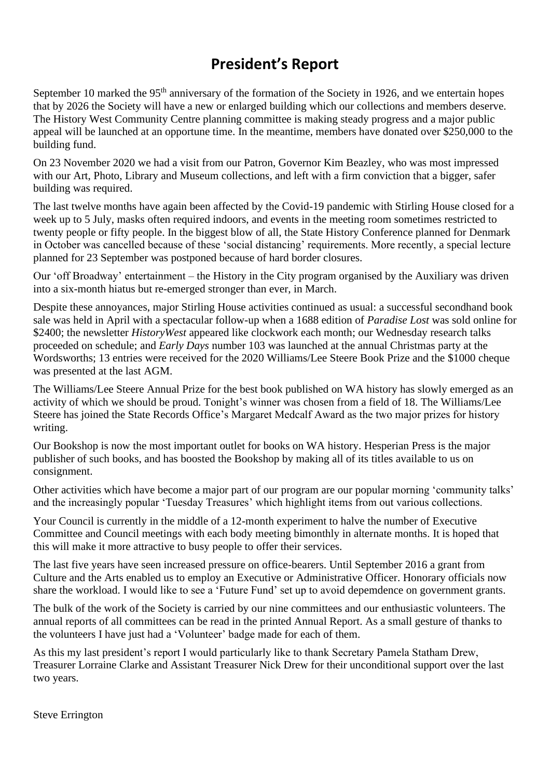## **President's Report**

September 10 marked the 95<sup>th</sup> anniversary of the formation of the Society in 1926, and we entertain hopes that by 2026 the Society will have a new or enlarged building which our collections and members deserve. The History West Community Centre planning committee is making steady progress and a major public appeal will be launched at an opportune time. In the meantime, members have donated over \$250,000 to the building fund.

On 23 November 2020 we had a visit from our Patron, Governor Kim Beazley, who was most impressed with our Art, Photo, Library and Museum collections, and left with a firm conviction that a bigger, safer building was required.

The last twelve months have again been affected by the Covid-19 pandemic with Stirling House closed for a week up to 5 July, masks often required indoors, and events in the meeting room sometimes restricted to twenty people or fifty people. In the biggest blow of all, the State History Conference planned for Denmark in October was cancelled because of these 'social distancing' requirements. More recently, a special lecture planned for 23 September was postponed because of hard border closures.

Our 'off Broadway' entertainment – the History in the City program organised by the Auxiliary was driven into a six-month hiatus but re-emerged stronger than ever, in March.

Despite these annoyances, major Stirling House activities continued as usual: a successful secondhand book sale was held in April with a spectacular follow-up when a 1688 edition of *Paradise Lost* was sold online for \$2400; the newsletter *HistoryWest* appeared like clockwork each month; our Wednesday research talks proceeded on schedule; and *Early Days* number 103 was launched at the annual Christmas party at the Wordsworths; 13 entries were received for the 2020 Williams/Lee Steere Book Prize and the \$1000 cheque was presented at the last AGM.

The Williams/Lee Steere Annual Prize for the best book published on WA history has slowly emerged as an activity of which we should be proud. Tonight's winner was chosen from a field of 18. The Williams/Lee Steere has joined the State Records Office's Margaret Medcalf Award as the two major prizes for history writing.

Our Bookshop is now the most important outlet for books on WA history. Hesperian Press is the major publisher of such books, and has boosted the Bookshop by making all of its titles available to us on consignment.

Other activities which have become a major part of our program are our popular morning 'community talks' and the increasingly popular 'Tuesday Treasures' which highlight items from out various collections.

Your Council is currently in the middle of a 12-month experiment to halve the number of Executive Committee and Council meetings with each body meeting bimonthly in alternate months. It is hoped that this will make it more attractive to busy people to offer their services.

The last five years have seen increased pressure on office-bearers. Until September 2016 a grant from Culture and the Arts enabled us to employ an Executive or Administrative Officer. Honorary officials now share the workload. I would like to see a 'Future Fund' set up to avoid depemdence on government grants.

The bulk of the work of the Society is carried by our nine committees and our enthusiastic volunteers. The annual reports of all committees can be read in the printed Annual Report. As a small gesture of thanks to the volunteers I have just had a 'Volunteer' badge made for each of them.

As this my last president's report I would particularly like to thank Secretary Pamela Statham Drew, Treasurer Lorraine Clarke and Assistant Treasurer Nick Drew for their unconditional support over the last two years.

Steve Errington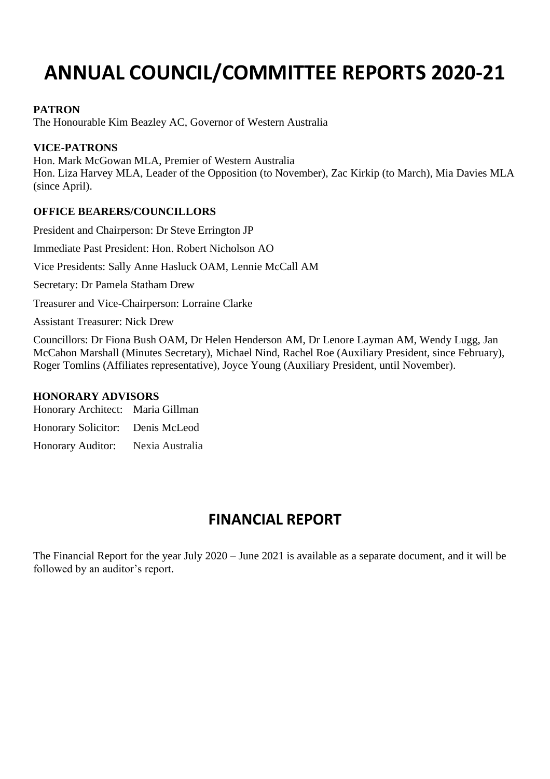## **ANNUAL COUNCIL/COMMITTEE REPORTS 2020-21**

#### **PATRON**

The Honourable Kim Beazley AC, Governor of Western Australia

#### **VICE-PATRONS**

Hon. Mark McGowan MLA, Premier of Western Australia Hon. Liza Harvey MLA, Leader of the Opposition (to November), Zac Kirkip (to March), Mia Davies MLA (since April).

#### **OFFICE BEARERS/COUNCILLORS**

President and Chairperson: Dr Steve Errington JP Immediate Past President: Hon. Robert Nicholson AO Vice Presidents: Sally Anne Hasluck OAM, Lennie McCall AM Secretary: Dr Pamela Statham Drew Treasurer and Vice-Chairperson: Lorraine Clarke Assistant Treasurer: Nick Drew Councillors: Dr Fiona Bush OAM, Dr Helen Henderson AM, Dr Lenore Layman AM, Wendy Lugg, Jan McCahon Marshall (Minutes Secretary), Michael Nind, Rachel Roe (Auxiliary President, since February), Roger Tomlins (Affiliates representative), Joyce Young (Auxiliary President, until November).

#### **HONORARY ADVISORS**

Honorary Architect: Maria Gillman

Honorary Solicitor: Denis McLeod

Honorary Auditor: Nexia Australia

## **FINANCIAL REPORT**

The Financial Report for the year July 2020 – June 2021 is available as a separate document, and it will be followed by an auditor's report.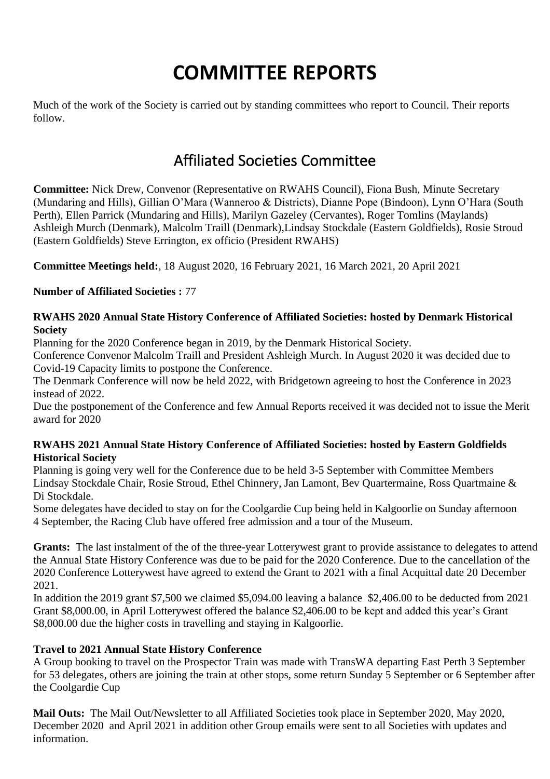## **COMMITTEE REPORTS**

Much of the work of the Society is carried out by standing committees who report to Council. Their reports follow.

## Affiliated Societies Committee

**Committee:** Nick Drew, Convenor (Representative on RWAHS Council), Fiona Bush, Minute Secretary (Mundaring and Hills), Gillian O'Mara (Wanneroo & Districts), Dianne Pope (Bindoon), Lynn O'Hara (South Perth), Ellen Parrick (Mundaring and Hills), Marilyn Gazeley (Cervantes), Roger Tomlins (Maylands) Ashleigh Murch (Denmark), Malcolm Traill (Denmark),Lindsay Stockdale (Eastern Goldfields), Rosie Stroud (Eastern Goldfields) Steve Errington, ex officio (President RWAHS)

**Committee Meetings held:**, 18 August 2020, 16 February 2021, 16 March 2021, 20 April 2021

**Number of Affiliated Societies :** 77

#### **RWAHS 2020 Annual State History Conference of Affiliated Societies: hosted by Denmark Historical Society**

Planning for the 2020 Conference began in 2019, by the Denmark Historical Society.

Conference Convenor Malcolm Traill and President Ashleigh Murch. In August 2020 it was decided due to Covid-19 Capacity limits to postpone the Conference.

The Denmark Conference will now be held 2022, with Bridgetown agreeing to host the Conference in 2023 instead of 2022.

Due the postponement of the Conference and few Annual Reports received it was decided not to issue the Merit award for 2020

#### **RWAHS 2021 Annual State History Conference of Affiliated Societies: hosted by Eastern Goldfields Historical Society**

Planning is going very well for the Conference due to be held 3-5 September with Committee Members Lindsay Stockdale Chair, Rosie Stroud, Ethel Chinnery, Jan Lamont, Bev Quartermaine, Ross Quartmaine & Di Stockdale.

Some delegates have decided to stay on for the Coolgardie Cup being held in Kalgoorlie on Sunday afternoon 4 September, the Racing Club have offered free admission and a tour of the Museum.

**Grants:** The last instalment of the of the three-year Lotterywest grant to provide assistance to delegates to attend the Annual State History Conference was due to be paid for the 2020 Conference. Due to the cancellation of the 2020 Conference Lotterywest have agreed to extend the Grant to 2021 with a final Acquittal date 20 December 2021.

In addition the 2019 grant \$7,500 we claimed \$5,094.00 leaving a balance \$2,406.00 to be deducted from 2021 Grant \$8,000.00, in April Lotterywest offered the balance \$2,406.00 to be kept and added this year's Grant \$8,000.00 due the higher costs in travelling and staying in Kalgoorlie.

#### **Travel to 2021 Annual State History Conference**

A Group booking to travel on the Prospector Train was made with TransWA departing East Perth 3 September for 53 delegates, others are joining the train at other stops, some return Sunday 5 September or 6 September after the Coolgardie Cup

**Mail Outs:** The Mail Out/Newsletter to all Affiliated Societies took place in September 2020, May 2020, December 2020 and April 2021 in addition other Group emails were sent to all Societies with updates and information.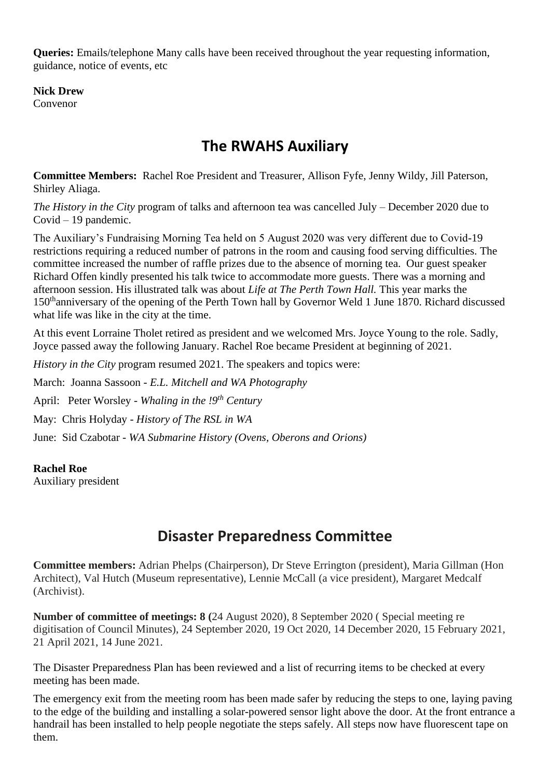**Queries:** Emails/telephone Many calls have been received throughout the year requesting information, guidance, notice of events, etc

**Nick Drew** Convenor

## **The RWAHS Auxiliary**

**Committee Members:** Rachel Roe President and Treasurer, Allison Fyfe, Jenny Wildy, Jill Paterson, Shirley Aliaga.

*The History in the City* program of talks and afternoon tea was cancelled July – December 2020 due to Covid – 19 pandemic.

The Auxiliary's Fundraising Morning Tea held on 5 August 2020 was very different due to Covid-19 restrictions requiring a reduced number of patrons in the room and causing food serving difficulties. The committee increased the number of raffle prizes due to the absence of morning tea. Our guest speaker Richard Offen kindly presented his talk twice to accommodate more guests. There was a morning and afternoon session. His illustrated talk was about *Life at The Perth Town Hall.* This year marks the 150thanniversary of the opening of the Perth Town hall by Governor Weld 1 June 1870. Richard discussed what life was like in the city at the time.

At this event Lorraine Tholet retired as president and we welcomed Mrs. Joyce Young to the role. Sadly, Joyce passed away the following January. Rachel Roe became President at beginning of 2021.

*History in the City* program resumed 2021. The speakers and topics were:

March: Joanna Sassoon - *E.L. Mitchell and WA Photography*

April: Peter Worsley - *Whaling in the !9th Century*

May: Chris Holyday - *History of The RSL in WA*

June: Sid Czabotar - *WA Submarine History (Ovens, Oberons and Orions)*

#### **Rachel Roe**

Auxiliary president

### **Disaster Preparedness Committee**

**Committee members:** Adrian Phelps (Chairperson), Dr Steve Errington (president), Maria Gillman (Hon Architect), Val Hutch (Museum representative), Lennie McCall (a vice president), Margaret Medcalf (Archivist).

**Number of committee of meetings: 8 (**24 August 2020), 8 September 2020 ( Special meeting re digitisation of Council Minutes), 24 September 2020, 19 Oct 2020, 14 December 2020, 15 February 2021, 21 April 2021, 14 June 2021.

The Disaster Preparedness Plan has been reviewed and a list of recurring items to be checked at every meeting has been made.

The emergency exit from the meeting room has been made safer by reducing the steps to one, laying paving to the edge of the building and installing a solar-powered sensor light above the door. At the front entrance a handrail has been installed to help people negotiate the steps safely. All steps now have fluorescent tape on them.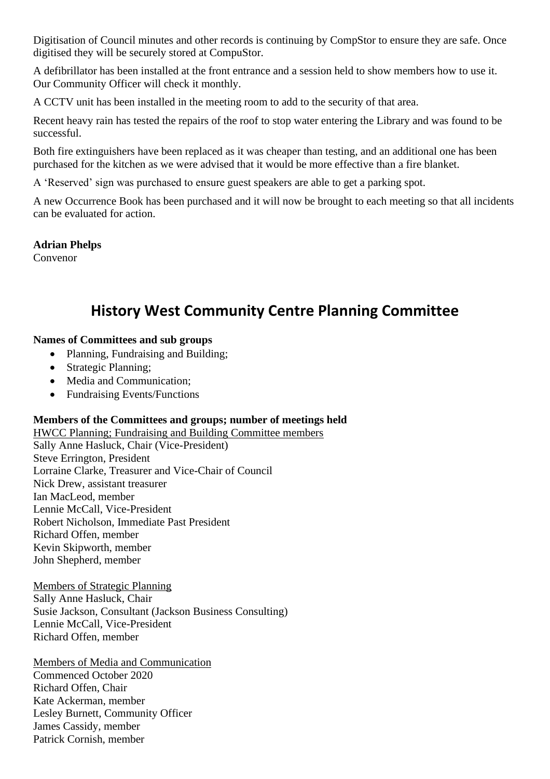Digitisation of Council minutes and other records is continuing by CompStor to ensure they are safe. Once digitised they will be securely stored at CompuStor.

A defibrillator has been installed at the front entrance and a session held to show members how to use it. Our Community Officer will check it monthly.

A CCTV unit has been installed in the meeting room to add to the security of that area.

Recent heavy rain has tested the repairs of the roof to stop water entering the Library and was found to be successful.

Both fire extinguishers have been replaced as it was cheaper than testing, and an additional one has been purchased for the kitchen as we were advised that it would be more effective than a fire blanket.

A 'Reserved' sign was purchased to ensure guest speakers are able to get a parking spot.

A new Occurrence Book has been purchased and it will now be brought to each meeting so that all incidents can be evaluated for action.

#### **Adrian Phelps**

Convenor

## **History West Community Centre Planning Committee**

#### **Names of Committees and sub groups**

- Planning, Fundraising and Building;
- Strategic Planning;
- Media and Communication;
- Fundraising Events/Functions

#### **Members of the Committees and groups; number of meetings held**

HWCC Planning; Fundraising and Building Committee members

Sally Anne Hasluck, Chair (Vice-President) Steve Errington, President Lorraine Clarke, Treasurer and Vice-Chair of Council Nick Drew, assistant treasurer Ian MacLeod, member Lennie McCall, Vice-President Robert Nicholson, Immediate Past President Richard Offen, member Kevin Skipworth, member John Shepherd, member

Members of Strategic Planning Sally Anne Hasluck, Chair Susie Jackson, Consultant (Jackson Business Consulting) Lennie McCall, Vice-President Richard Offen, member

Members of Media and Communication Commenced October 2020 Richard Offen, Chair Kate Ackerman, member Lesley Burnett, Community Officer James Cassidy, member Patrick Cornish, member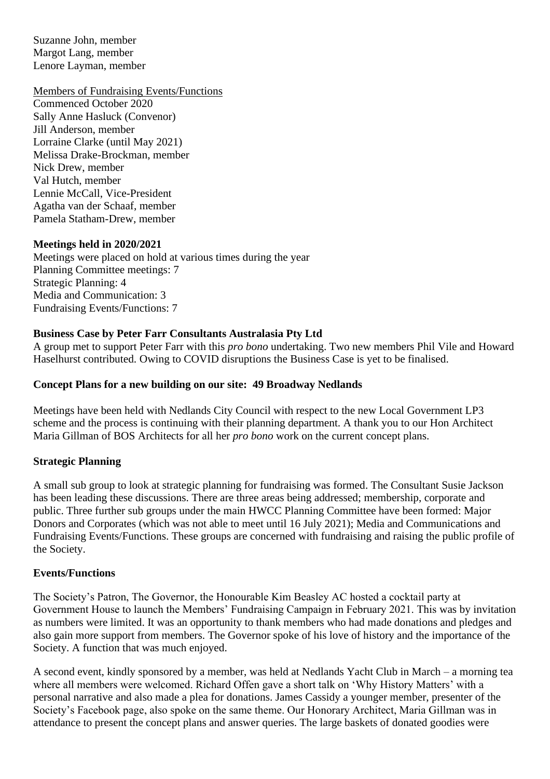Suzanne John, member Margot Lang, member Lenore Layman, member

#### Members of Fundraising Events/Functions

Commenced October 2020 Sally Anne Hasluck (Convenor) Jill Anderson, member Lorraine Clarke (until May 2021) Melissa Drake-Brockman, member Nick Drew, member Val Hutch, member Lennie McCall, Vice-President Agatha van der Schaaf, member Pamela Statham-Drew, member

#### **Meetings held in 2020/2021**

Meetings were placed on hold at various times during the year Planning Committee meetings: 7 Strategic Planning: 4 Media and Communication: 3 Fundraising Events/Functions: 7

#### **Business Case by Peter Farr Consultants Australasia Pty Ltd**

A group met to support Peter Farr with this *pro bono* undertaking. Two new members Phil Vile and Howard Haselhurst contributed. Owing to COVID disruptions the Business Case is yet to be finalised.

#### **Concept Plans for a new building on our site: 49 Broadway Nedlands**

Meetings have been held with Nedlands City Council with respect to the new Local Government LP3 scheme and the process is continuing with their planning department. A thank you to our Hon Architect Maria Gillman of BOS Architects for all her *pro bono* work on the current concept plans.

#### **Strategic Planning**

A small sub group to look at strategic planning for fundraising was formed. The Consultant Susie Jackson has been leading these discussions. There are three areas being addressed; membership, corporate and public. Three further sub groups under the main HWCC Planning Committee have been formed: Major Donors and Corporates (which was not able to meet until 16 July 2021); Media and Communications and Fundraising Events/Functions. These groups are concerned with fundraising and raising the public profile of the Society.

#### **Events/Functions**

The Society's Patron, The Governor, the Honourable Kim Beasley AC hosted a cocktail party at Government House to launch the Members' Fundraising Campaign in February 2021. This was by invitation as numbers were limited. It was an opportunity to thank members who had made donations and pledges and also gain more support from members. The Governor spoke of his love of history and the importance of the Society. A function that was much enjoyed.

A second event, kindly sponsored by a member, was held at Nedlands Yacht Club in March – a morning tea where all members were welcomed. Richard Offen gave a short talk on 'Why History Matters' with a personal narrative and also made a plea for donations. James Cassidy a younger member, presenter of the Society's Facebook page, also spoke on the same theme. Our Honorary Architect, Maria Gillman was in attendance to present the concept plans and answer queries. The large baskets of donated goodies were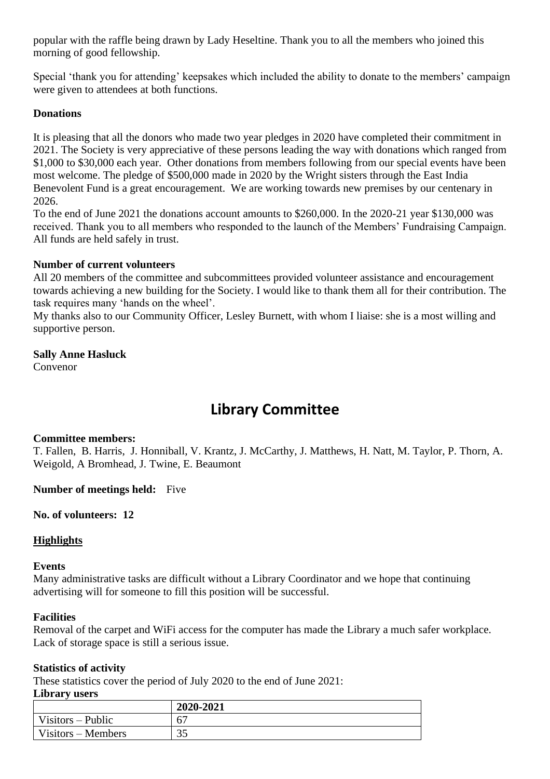popular with the raffle being drawn by Lady Heseltine. Thank you to all the members who joined this morning of good fellowship.

Special 'thank you for attending' keepsakes which included the ability to donate to the members' campaign were given to attendees at both functions.

#### **Donations**

It is pleasing that all the donors who made two year pledges in 2020 have completed their commitment in 2021. The Society is very appreciative of these persons leading the way with donations which ranged from \$1,000 to \$30,000 each year. Other donations from members following from our special events have been most welcome. The pledge of \$500,000 made in 2020 by the Wright sisters through the East India Benevolent Fund is a great encouragement. We are working towards new premises by our centenary in 2026.

To the end of June 2021 the donations account amounts to \$260,000. In the 2020-21 year \$130,000 was received. Thank you to all members who responded to the launch of the Members' Fundraising Campaign. All funds are held safely in trust.

#### **Number of current volunteers**

All 20 members of the committee and subcommittees provided volunteer assistance and encouragement towards achieving a new building for the Society. I would like to thank them all for their contribution. The task requires many 'hands on the wheel'.

My thanks also to our Community Officer, Lesley Burnett, with whom I liaise: she is a most willing and supportive person.

### **Sally Anne Hasluck**

Convenor

## **Library Committee**

#### **Committee members:**

T. Fallen, B. Harris, J. Honniball, V. Krantz, J. McCarthy, J. Matthews, H. Natt, M. Taylor, P. Thorn, A. Weigold, A Bromhead, J. Twine, E. Beaumont

**Number of meetings held:** Five

#### **No. of volunteers: 12**

#### **Highlights**

#### **Events**

Many administrative tasks are difficult without a Library Coordinator and we hope that continuing advertising will for someone to fill this position will be successful.

#### **Facilities**

Removal of the carpet and WiFi access for the computer has made the Library a much safer workplace. Lack of storage space is still a serious issue.

#### **Statistics of activity**

These statistics cover the period of July 2020 to the end of June 2021:

#### **Library users**

|                     | 2020-2021      |
|---------------------|----------------|
| $Visitors - Public$ | 6 <sup>7</sup> |
| Visitors – Members  | 25<br>JJ       |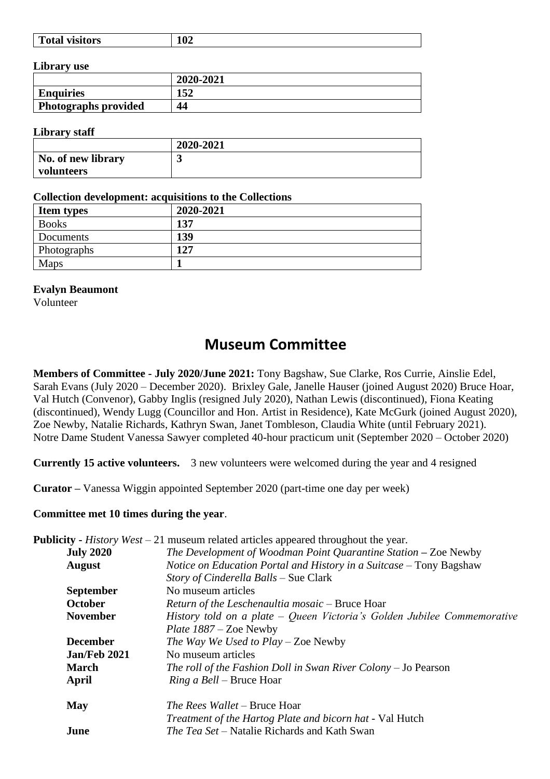|--|

#### **Library use**

|                      | 2020-2021            |
|----------------------|----------------------|
| <b>Enquiries</b>     | $1E^{\prime}$<br>194 |
| Photographs provided | 44                   |

#### **Library staff**

|                    | 2020-2021 |
|--------------------|-----------|
| No. of new library | ັ         |
| volunteers         |           |

#### **Collection development: acquisitions to the Collections**

| <b>Item types</b> | 2020-2021 |
|-------------------|-----------|
| <b>Books</b>      | 137       |
| Documents         | 139       |
| Photographs       | 127       |
| Maps              |           |

#### **Evalyn Beaumont**

Volunteer

## **Museum Committee**

**Members of Committee - July 2020/June 2021:** Tony Bagshaw, Sue Clarke, Ros Currie, Ainslie Edel, Sarah Evans (July 2020 – December 2020). Brixley Gale, Janelle Hauser (joined August 2020) Bruce Hoar, Val Hutch (Convenor), Gabby Inglis (resigned July 2020), Nathan Lewis (discontinued), Fiona Keating (discontinued), Wendy Lugg (Councillor and Hon. Artist in Residence), Kate McGurk (joined August 2020), Zoe Newby, Natalie Richards, Kathryn Swan, Janet Tombleson, Claudia White (until February 2021). Notre Dame Student Vanessa Sawyer completed 40-hour practicum unit (September 2020 – October 2020)

**Currently 15 active volunteers.** 3 new volunteers were welcomed during the year and 4 resigned

**Curator –** Vanessa Wiggin appointed September 2020 (part-time one day per week)

#### **Committee met 10 times during the year**.

|                  | <b>Publicity</b> - <i>History West</i> $-21$ museum related articles appeared throughout the year. |
|------------------|----------------------------------------------------------------------------------------------------|
| <b>July 2020</b> | The Development of Woodman Point Quarantine Station - Zoe Newby                                    |
| <b>August</b>    | Notice on Education Portal and History in a Suitcase - Tony Bagshaw                                |
|                  | Story of Cinderella Balls – Sue Clark                                                              |
| <b>September</b> | No museum articles                                                                                 |
| <b>October</b>   | Return of the Leschenaultia mosaic – Bruce Hoar                                                    |
| <b>November</b>  | History told on a plate $-$ Queen Victoria's Golden Jubilee Commemorative                          |
|                  | <i>Plate <math>1887 - Z</math>oe Newby</i>                                                         |
| <b>December</b>  | The Way We Used to Play – Zoe Newby                                                                |
| Jan/Feb 2021     | No museum articles                                                                                 |
| <b>March</b>     | The roll of the Fashion Doll in Swan River Colony $-$ Jo Pearson                                   |
| April            | <i>Ring a Bell</i> – Bruce Hoar                                                                    |
| <b>May</b>       | The Rees Wallet – Bruce Hoar                                                                       |
|                  | Treatment of the Hartog Plate and bicorn hat - Val Hutch                                           |
| June             | <i>The Tea Set</i> – Natalie Richards and Kath Swan                                                |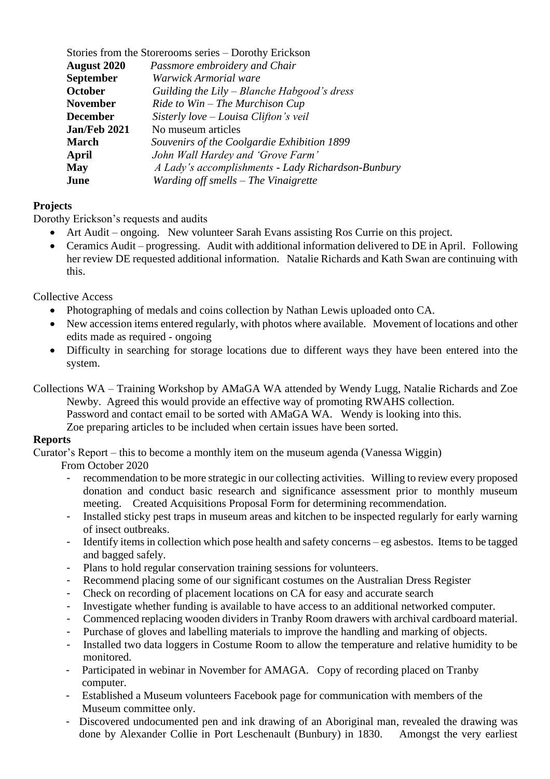| Stories from the Storerooms series – Dorothy Erickson |                                                    |
|-------------------------------------------------------|----------------------------------------------------|
| <b>August 2020</b>                                    | Passmore embroidery and Chair                      |
| <b>September</b>                                      | Warwick Armorial ware                              |
| <b>October</b>                                        | Guilding the Lily – Blanche Habgood's dress        |
| <b>November</b>                                       | $Ride$ to $Win$ – The Murchison Cup                |
| <b>December</b>                                       | Sisterly love - Louisa Clifton's veil              |
| Jan/Feb 2021                                          | No museum articles                                 |
| <b>March</b>                                          | Souvenirs of the Coolgardie Exhibition 1899        |
| April                                                 | John Wall Hardey and 'Grove Farm'                  |
| <b>May</b>                                            | A Lady's accomplishments - Lady Richardson-Bunbury |
| June                                                  | Warding off smells – The Vinaigrette               |

#### **Projects**

Dorothy Erickson's requests and audits

- Art Audit ongoing. New volunteer Sarah Evans assisting Ros Currie on this project.
- Ceramics Audit progressing. Audit with additional information delivered to DE in April. Following her review DE requested additional information. Natalie Richards and Kath Swan are continuing with this.

Collective Access

- Photographing of medals and coins collection by Nathan Lewis uploaded onto CA.
- New accession items entered regularly, with photos where available. Movement of locations and other edits made as required - ongoing
- Difficulty in searching for storage locations due to different ways they have been entered into the system.
- Collections WA Training Workshop by AMaGA WA attended by Wendy Lugg, Natalie Richards and Zoe Newby. Agreed this would provide an effective way of promoting RWAHS collection.
	- Password and contact email to be sorted with AMaGA WA. Wendy is looking into this.

Zoe preparing articles to be included when certain issues have been sorted.

#### **Reports**

Curator's Report – this to become a monthly item on the museum agenda (Vanessa Wiggin)

- From October 2020
	- recommendation to be more strategic in our collecting activities. Willing to review every proposed donation and conduct basic research and significance assessment prior to monthly museum meeting. Created Acquisitions Proposal Form for determining recommendation.
	- Installed sticky pest traps in museum areas and kitchen to be inspected regularly for early warning of insect outbreaks.
	- Identify items in collection which pose health and safety concerns eg asbestos. Items to be tagged and bagged safely.
	- Plans to hold regular conservation training sessions for volunteers.
	- Recommend placing some of our significant costumes on the Australian Dress Register
	- Check on recording of placement locations on CA for easy and accurate search
	- Investigate whether funding is available to have access to an additional networked computer.
	- Commenced replacing wooden dividers in Tranby Room drawers with archival cardboard material.
	- Purchase of gloves and labelling materials to improve the handling and marking of objects.
	- Installed two data loggers in Costume Room to allow the temperature and relative humidity to be monitored.
- Participated in webinar in November for AMAGA. Copy of recording placed on Tranby computer.
- Established a Museum volunteers Facebook page for communication with members of the Museum committee only.
- Discovered undocumented pen and ink drawing of an Aboriginal man, revealed the drawing was done by Alexander Collie in Port Leschenault (Bunbury) in 1830. Amongst the very earliest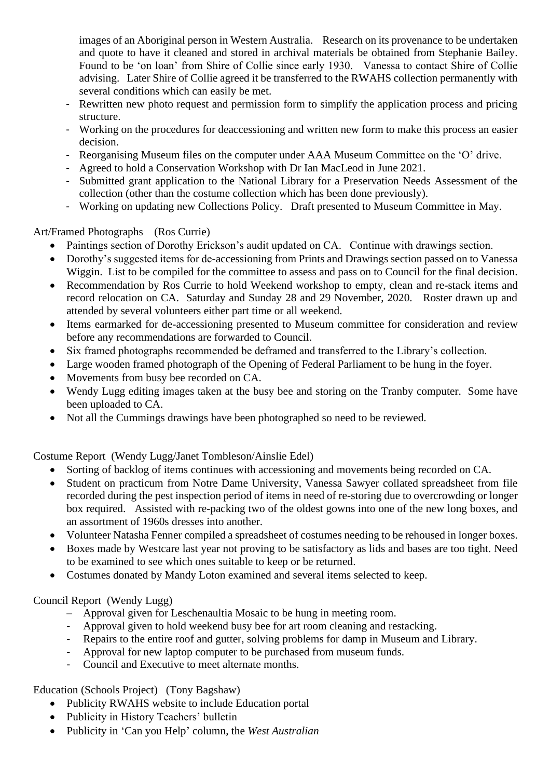images of an Aboriginal person in Western Australia. Research on its provenance to be undertaken and quote to have it cleaned and stored in archival materials be obtained from Stephanie Bailey. Found to be 'on loan' from Shire of Collie since early 1930. Vanessa to contact Shire of Collie advising. Later Shire of Collie agreed it be transferred to the RWAHS collection permanently with several conditions which can easily be met.

- Rewritten new photo request and permission form to simplify the application process and pricing structure.
- Working on the procedures for deaccessioning and written new form to make this process an easier decision.
- Reorganising Museum files on the computer under AAA Museum Committee on the 'O' drive.
- Agreed to hold a Conservation Workshop with Dr Ian MacLeod in June 2021.
- Submitted grant application to the National Library for a Preservation Needs Assessment of the collection (other than the costume collection which has been done previously).
- Working on updating new Collections Policy. Draft presented to Museum Committee in May.

#### Art/Framed Photographs (Ros Currie)

- Paintings section of Dorothy Erickson's audit updated on CA. Continue with drawings section.
- Dorothy's suggested items for de-accessioning from Prints and Drawings section passed on to Vanessa Wiggin. List to be compiled for the committee to assess and pass on to Council for the final decision.
- Recommendation by Ros Currie to hold Weekend workshop to empty, clean and re-stack items and record relocation on CA. Saturday and Sunday 28 and 29 November, 2020. Roster drawn up and attended by several volunteers either part time or all weekend.
- Items earmarked for de-accessioning presented to Museum committee for consideration and review before any recommendations are forwarded to Council.
- Six framed photographs recommended be deframed and transferred to the Library's collection.
- Large wooden framed photograph of the Opening of Federal Parliament to be hung in the foyer.
- Movements from busy bee recorded on CA.
- Wendy Lugg editing images taken at the busy bee and storing on the Tranby computer. Some have been uploaded to CA.
- Not all the Cummings drawings have been photographed so need to be reviewed.

Costume Report (Wendy Lugg/Janet Tombleson/Ainslie Edel)

- Sorting of backlog of items continues with accessioning and movements being recorded on CA.
- Student on practicum from Notre Dame University, Vanessa Sawyer collated spreadsheet from file recorded during the pest inspection period of items in need of re-storing due to overcrowding or longer box required. Assisted with re-packing two of the oldest gowns into one of the new long boxes, and an assortment of 1960s dresses into another.
- Volunteer Natasha Fenner compiled a spreadsheet of costumes needing to be rehoused in longer boxes.
- Boxes made by Westcare last year not proving to be satisfactory as lids and bases are too tight. Need to be examined to see which ones suitable to keep or be returned.
- Costumes donated by Mandy Loton examined and several items selected to keep.

#### Council Report (Wendy Lugg)

- Approval given for Leschenaultia Mosaic to be hung in meeting room.
- Approval given to hold weekend busy bee for art room cleaning and restacking.
- Repairs to the entire roof and gutter, solving problems for damp in Museum and Library.
- Approval for new laptop computer to be purchased from museum funds.
- Council and Executive to meet alternate months.

Education (Schools Project) (Tony Bagshaw)

- Publicity RWAHS website to include Education portal
- Publicity in History Teachers' bulletin
- Publicity in 'Can you Help' column, the *West Australian*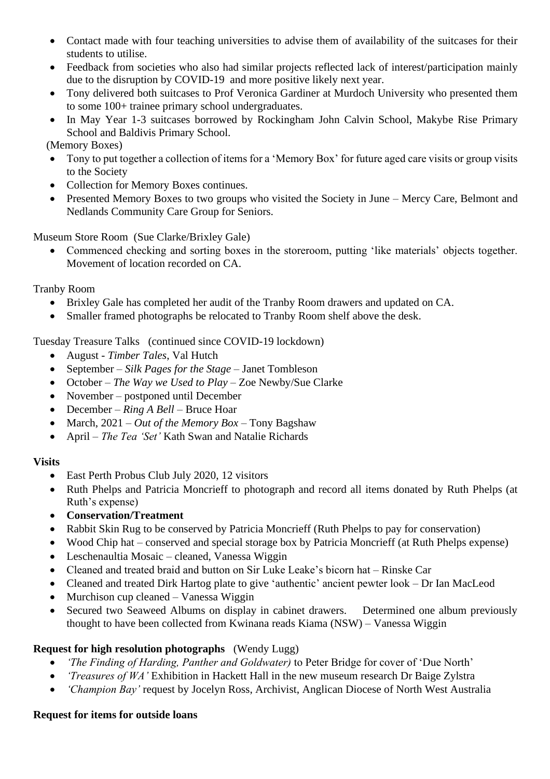- Contact made with four teaching universities to advise them of availability of the suitcases for their students to utilise.
- Feedback from societies who also had similar projects reflected lack of interest/participation mainly due to the disruption by COVID-19 and more positive likely next year.
- Tony delivered both suitcases to Prof Veronica Gardiner at Murdoch University who presented them to some 100+ trainee primary school undergraduates.
- In May Year 1-3 suitcases borrowed by Rockingham John Calvin School, Makybe Rise Primary School and Baldivis Primary School.
- (Memory Boxes)
- Tony to put together a collection of items for a 'Memory Box' for future aged care visits or group visits to the Society
- Collection for Memory Boxes continues.
- Presented Memory Boxes to two groups who visited the Society in June Mercy Care, Belmont and Nedlands Community Care Group for Seniors.

Museum Store Room (Sue Clarke/Brixley Gale)

• Commenced checking and sorting boxes in the storeroom, putting 'like materials' objects together. Movement of location recorded on CA.

Tranby Room

- Brixley Gale has completed her audit of the Tranby Room drawers and updated on CA.
- Smaller framed photographs be relocated to Tranby Room shelf above the desk.

Tuesday Treasure Talks (continued since COVID-19 lockdown)

- August *Timber Tales*, Val Hutch
- September *Silk Pages for the Stage* Janet Tombleson
- October *The Way we Used to Play* Zoe Newby/Sue Clarke
- November postponed until December
- December *Ring A Bell* Bruce Hoar
- March, 2021 *Out of the Memory Box –* Tony Bagshaw
- April *The Tea 'Set'* Kath Swan and Natalie Richards

#### **Visits**

- East Perth Probus Club July 2020, 12 visitors
- Ruth Phelps and Patricia Moncrieff to photograph and record all items donated by Ruth Phelps (at Ruth's expense)
- **Conservation/Treatment**
- Rabbit Skin Rug to be conserved by Patricia Moncrieff (Ruth Phelps to pay for conservation)
- Wood Chip hat conserved and special storage box by Patricia Moncrieff (at Ruth Phelps expense)
- Leschenaultia Mosaic cleaned, Vanessa Wiggin
- Cleaned and treated braid and button on Sir Luke Leake's bicorn hat Rinske Car
- Cleaned and treated Dirk Hartog plate to give 'authentic' ancient pewter look Dr Ian MacLeod
- Murchison cup cleaned Vanessa Wiggin
- Secured two Seaweed Albums on display in cabinet drawers. Determined one album previously thought to have been collected from Kwinana reads Kiama (NSW) – Vanessa Wiggin

#### **Request for high resolution photographs** (Wendy Lugg)

- *'The Finding of Harding, Panther and Goldwater)* to Peter Bridge for cover of 'Due North'
- *'Treasures of WA'* Exhibition in Hackett Hall in the new museum research Dr Baige Zylstra
- *'Champion Bay'* request by Jocelyn Ross, Archivist, Anglican Diocese of North West Australia

#### **Request for items for outside loans**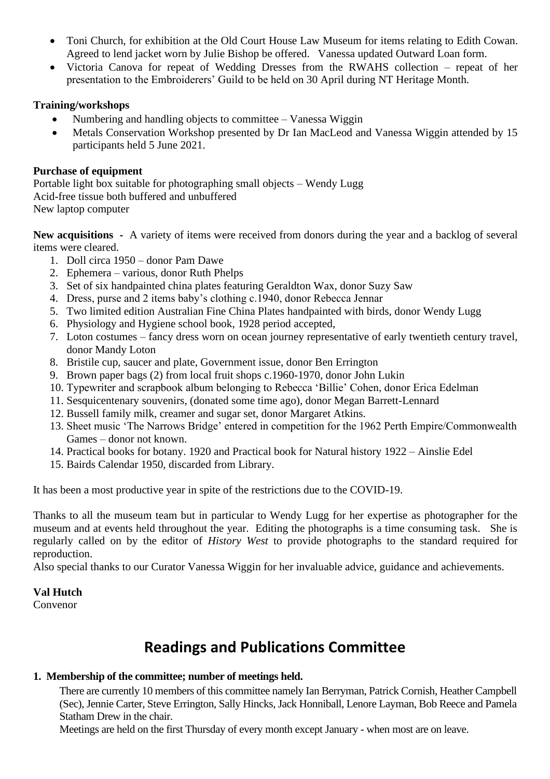- Toni Church, for exhibition at the Old Court House Law Museum for items relating to Edith Cowan. Agreed to lend jacket worn by Julie Bishop be offered. Vanessa updated Outward Loan form.
- Victoria Canova for repeat of Wedding Dresses from the RWAHS collection repeat of her presentation to the Embroiderers' Guild to be held on 30 April during NT Heritage Month.

#### **Training/workshops**

- Numbering and handling objects to committee Vanessa Wiggin
- Metals Conservation Workshop presented by Dr Ian MacLeod and Vanessa Wiggin attended by 15 participants held 5 June 2021.

#### **Purchase of equipment**

Portable light box suitable for photographing small objects – Wendy Lugg Acid-free tissue both buffered and unbuffered New laptop computer

**New acquisitions -** A variety of items were received from donors during the year and a backlog of several items were cleared.

- 1. Doll circa 1950 donor Pam Dawe
- 2. Ephemera various, donor Ruth Phelps
- 3. Set of six handpainted china plates featuring Geraldton Wax, donor Suzy Saw
- 4. Dress, purse and 2 items baby's clothing c.1940, donor Rebecca Jennar
- 5. Two limited edition Australian Fine China Plates handpainted with birds, donor Wendy Lugg
- 6. Physiology and Hygiene school book, 1928 period accepted,
- 7. Loton costumes fancy dress worn on ocean journey representative of early twentieth century travel, donor Mandy Loton
- 8. Bristile cup, saucer and plate, Government issue, donor Ben Errington
- 9. Brown paper bags (2) from local fruit shops c.1960-1970, donor John Lukin
- 10. Typewriter and scrapbook album belonging to Rebecca 'Billie' Cohen, donor Erica Edelman
- 11. Sesquicentenary souvenirs, (donated some time ago), donor Megan Barrett-Lennard
- 12. Bussell family milk, creamer and sugar set, donor Margaret Atkins.
- 13. Sheet music 'The Narrows Bridge' entered in competition for the 1962 Perth Empire/Commonwealth Games – donor not known.
- 14. Practical books for botany. 1920 and Practical book for Natural history 1922 Ainslie Edel
- 15. Bairds Calendar 1950, discarded from Library.

It has been a most productive year in spite of the restrictions due to the COVID-19.

Thanks to all the museum team but in particular to Wendy Lugg for her expertise as photographer for the museum and at events held throughout the year. Editing the photographs is a time consuming task. She is regularly called on by the editor of *History West* to provide photographs to the standard required for reproduction.

Also special thanks to our Curator Vanessa Wiggin for her invaluable advice, guidance and achievements.

#### **Val Hutch**

Convenor

## **Readings and Publications Committee**

#### **1. Membership of the committee; number of meetings held.**

There are currently 10 members of this committee namely Ian Berryman, Patrick Cornish, Heather Campbell (Sec), Jennie Carter, Steve Errington, Sally Hincks, Jack Honniball, Lenore Layman, Bob Reece and Pamela Statham Drew in the chair.

Meetings are held on the first Thursday of every month except January - when most are on leave.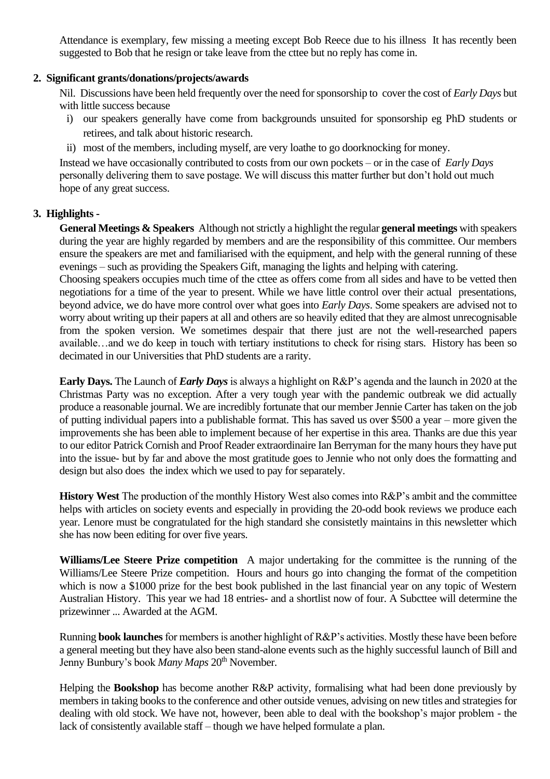Attendance is exemplary, few missing a meeting except Bob Reece due to his illness It has recently been suggested to Bob that he resign or take leave from the cttee but no reply has come in.

#### **2. Significant grants/donations/projects/awards**

Nil. Discussions have been held frequently over the need for sponsorship to cover the cost of *Early Days* but with little success because

- i) our speakers generally have come from backgrounds unsuited for sponsorship eg PhD students or retirees, and talk about historic research.
- ii) most of the members, including myself, are very loathe to go doorknocking for money.

Instead we have occasionally contributed to costs from our own pockets – or in the case of *Early Days* personally delivering them to save postage. We will discuss this matter further but don't hold out much hope of any great success.

#### **3. Highlights -**

**General Meetings & Speakers** Although not strictly a highlight the regular **general meetings** with speakers during the year are highly regarded by members and are the responsibility of this committee. Our members ensure the speakers are met and familiarised with the equipment, and help with the general running of these evenings – such as providing the Speakers Gift, managing the lights and helping with catering.

Choosing speakers occupies much time of the cttee as offers come from all sides and have to be vetted then negotiations for a time of the year to present. While we have little control over their actual presentations, beyond advice, we do have more control over what goes into *Early Days*. Some speakers are advised not to worry about writing up their papers at all and others are so heavily edited that they are almost unrecognisable from the spoken version. We sometimes despair that there just are not the well-researched papers available…and we do keep in touch with tertiary institutions to check for rising stars. History has been so decimated in our Universities that PhD students are a rarity.

**Early Days.** The Launch of *Early Days* is always a highlight on R&P's agenda and the launch in 2020 at the Christmas Party was no exception. After a very tough year with the pandemic outbreak we did actually produce a reasonable journal. We are incredibly fortunate that our member Jennie Carter has taken on the job of putting individual papers into a publishable format. This has saved us over \$500 a year – more given the improvements she has been able to implement because of her expertise in this area. Thanks are due this year to our editor Patrick Cornish and Proof Reader extraordinaire Ian Berryman for the many hours they have put into the issue- but by far and above the most gratitude goes to Jennie who not only does the formatting and design but also does the index which we used to pay for separately.

**History West** The production of the monthly History West also comes into R&P's ambit and the committee helps with articles on society events and especially in providing the 20-odd book reviews we produce each year. Lenore must be congratulated for the high standard she consistetly maintains in this newsletter which she has now been editing for over five years.

**Williams/Lee Steere Prize competition** A major undertaking for the committee is the running of the Williams/Lee Steere Prize competition. Hours and hours go into changing the format of the competition which is now a \$1000 prize for the best book published in the last financial year on any topic of Western Australian History. This year we had 18 entries- and a shortlist now of four. A Subcttee will determine the prizewinner ... Awarded at the AGM.

Running **book launches**for members is another highlight of R&P's activities. Mostly these have been before a general meeting but they have also been stand-alone events such as the highly successful launch of Bill and Jenny Bunbury's book *Many Maps* 20<sup>th</sup> November.

Helping the **Bookshop** has become another R&P activity, formalising what had been done previously by members in taking books to the conference and other outside venues, advising on new titles and strategies for dealing with old stock. We have not, however, been able to deal with the bookshop's major problem - the lack of consistently available staff – though we have helped formulate a plan.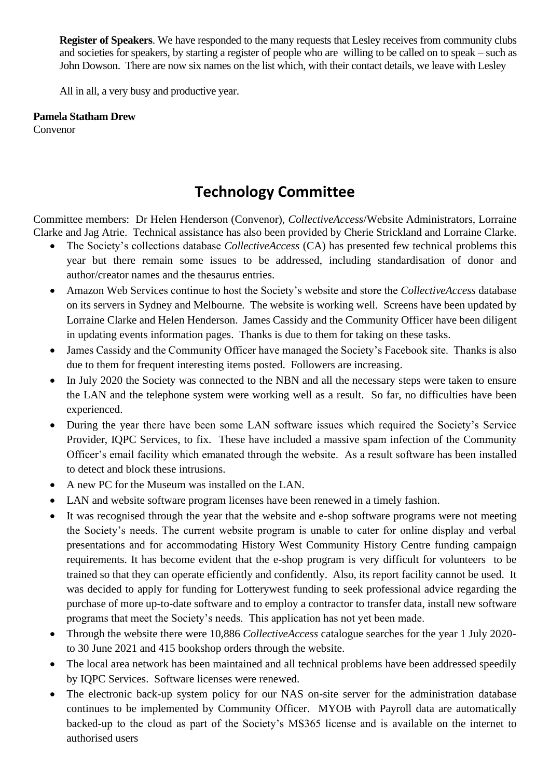**Register of Speakers**. We have responded to the many requests that Lesley receives from community clubs and societies for speakers, by starting a register of people who are willing to be called on to speak – such as John Dowson. There are now six names on the list which, with their contact details, we leave with Lesley

All in all, a very busy and productive year.

#### **Pamela Statham Drew**

Convenor

## **Technology Committee**

Committee members: Dr Helen Henderson (Convenor), *CollectiveAccess*/Website Administrators, Lorraine Clarke and Jag Atrie. Technical assistance has also been provided by Cherie Strickland and Lorraine Clarke.

- The Society's collections database *CollectiveAccess* (CA) has presented few technical problems this year but there remain some issues to be addressed, including standardisation of donor and author/creator names and the thesaurus entries.
- Amazon Web Services continue to host the Society's website and store the *CollectiveAccess* database on its servers in Sydney and Melbourne. The website is working well. Screens have been updated by Lorraine Clarke and Helen Henderson. James Cassidy and the Community Officer have been diligent in updating events information pages. Thanks is due to them for taking on these tasks.
- James Cassidy and the Community Officer have managed the Society's Facebook site. Thanks is also due to them for frequent interesting items posted. Followers are increasing.
- In July 2020 the Society was connected to the NBN and all the necessary steps were taken to ensure the LAN and the telephone system were working well as a result. So far, no difficulties have been experienced.
- During the year there have been some LAN software issues which required the Society's Service Provider, IQPC Services, to fix. These have included a massive spam infection of the Community Officer's email facility which emanated through the website. As a result software has been installed to detect and block these intrusions.
- A new PC for the Museum was installed on the LAN.
- LAN and website software program licenses have been renewed in a timely fashion.
- It was recognised through the year that the website and e-shop software programs were not meeting the Society's needs. The current website program is unable to cater for online display and verbal presentations and for accommodating History West Community History Centre funding campaign requirements. It has become evident that the e-shop program is very difficult for volunteers to be trained so that they can operate efficiently and confidently. Also, its report facility cannot be used. It was decided to apply for funding for Lotterywest funding to seek professional advice regarding the purchase of more up-to-date software and to employ a contractor to transfer data, install new software programs that meet the Society's needs. This application has not yet been made.
- Through the website there were 10,886 *CollectiveAccess* catalogue searches for the year 1 July 2020 to 30 June 2021 and 415 bookshop orders through the website.
- The local area network has been maintained and all technical problems have been addressed speedily by IQPC Services. Software licenses were renewed.
- The electronic back-up system policy for our NAS on-site server for the administration database continues to be implemented by Community Officer. MYOB with Payroll data are automatically backed-up to the cloud as part of the Society's MS365 license and is available on the internet to authorised users